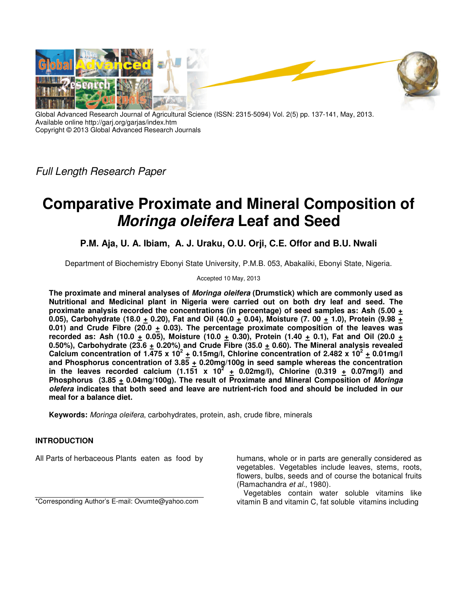

Global Advanced Research Journal of Agricultural Science (ISSN: 2315-5094) Vol. 2(5) pp. 137-141, May, 2013. Available online http://garj.org/garjas/index.htm Copyright © 2013 Global Advanced Research Journals

*Full Length Research Paper*

# **Comparative Proximate and Mineral Composition of Moringa oleifera Leaf and Seed**

**P.M. Aja, U. A. Ibiam, A. J. Uraku, O.U. Orji, C.E. Offor and B.U. Nwali**

Department of Biochemistry Ebonyi State University, P.M.B. 053, Abakaliki, Ebonyi State, Nigeria.

Accepted 10 May, 2013

**The proximate and mineral analyses of Moringa oleifera (Drumstick) which are commonly used as Nutritional and Medicinal plant in Nigeria were carried out on both dry leaf and seed. The proximate analysis recorded the concentrations (in percentage) of seed samples as: Ash (5.00 +** 0.05), Carbohydrate (18.0 + 0.20), Fat and Oil (40.0 + 0.04), Moisture (7. 00 + 1.0), Protein (9.98 + 0.01) and Crude Fibre (20.0  $\pm$  0.03). The percentage proximate composition of the leaves was recorded as: Ash (10.0  $\pm$  0.05), Moisture (10.0  $\pm$  0.30), Protein (1.40  $\pm$  0.1), Fat and Oil (20.0  $\pm$ 0.50%), Carbohydrate (23.6  $\pm$  0.20%) and Crude Fibre (35.0  $\pm$  0.60). The Mineral analysis revealed Calcium concentration of  $1.\overline{475}$  x  $10^2$   $+$  0.15mg/l, Chlorine concentration of 2.482 x  $10^2$   $+$  0.01mg/l **and Phosphorus concentration of 3.85 + 0.20mg/100g in seed sample whereas the concentration**  in the leaves recorded calcium (1.151 x  $10^2$   $+$  0.02mg/l), Chlorine (0.319  $+$  0.07mg/l) and **Phosphorus (3.85 + 0.04mg/100g). The result of Proximate and Mineral Composition of Moringa olefera indicates that both seed and leave are nutrient-rich food and should be included in our meal for a balance diet.** 

**Keywords:** *Moringa oleifera*, carbohydrates, protein, ash, crude fibre, minerals

# **INTRODUCTION**

All Parts of herbaceous Plants eaten as food by

\*Corresponding Author's E-mail: Ovumte@yahoo.com

humans, whole or in parts are generally considered as vegetables. Vegetables include leaves, stems, roots, flowers, bulbs, seeds and of course the botanical fruits (Ramachandra *et al.*, 1980).

Vegetables contain water soluble vitamins like vitamin B and vitamin C, fat soluble vitamins including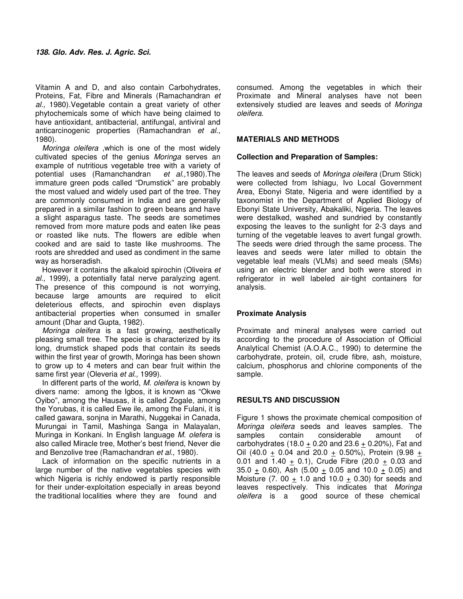Vitamin A and D, and also contain Carbohydrates, Proteins, Fat, Fibre and Minerals (Ramachandran *et al.,* 1980).Vegetable contain a great variety of other phytochemicals some of which have being claimed to have antioxidant, antibacterial, antifungal, antiviral and anticarcinogenic properties (Ramachandran *et al.,* 1980).

*Moringa oleifera* ,which is one of the most widely cultivated species of the genius *Moringa* serves an example of nutritious vegetable tree with a variety of potential uses (Ramanchandran *et al.,*1980).The immature green pods called "Drumstick" are probably the most valued and widely used part of the tree. They are commonly consumed in India and are generally prepared in a similar fashion to green beans and have a slight asparagus taste. The seeds are sometimes removed from more mature pods and eaten like peas or roasted like nuts. The flowers are edible when cooked and are said to taste like mushrooms. The roots are shredded and used as condiment in the same way as horseradish.

However it contains the alkaloid spirochin (Oliveira *et al.,* 1999), a potentially fatal nerve paralyzing agent. The presence of this compound is not worrying, because large amounts are required to elicit deleterious effects, and spirochin even displays antibacterial properties when consumed in smaller amount (Dhar and Gupta, 1982).

*Moringa oleifera* is a fast growing, aesthetically pleasing small tree. The specie is characterized by its long, drumstick shaped pods that contain its seeds within the first year of growth, Moringa has been shown to grow up to 4 meters and can bear fruit within the same first year (Oleveria *et al.,* 1999).

In different parts of the world, *M. oleifera* is known by divers name: among the Igbos, it is known as "Okwe Oyibo", among the Hausas, it is called Zogale, among the Yorubas, it is called Ewe ile, among the Fulani, it is called gawara, sonjna in Marathi, Nuggekai in Canada, Murungai in Tamil, Mashinga Sanga in Malayalan, Muringa in Konkani. In English language *M. olefera* is also called Miracle tree, Mother's best friend, Never die and Benzolive tree (Ramachandran *et al.,* 1980).

Lack of information on the specific nutrients in a large number of the native vegetables species with which Nigeria is richly endowed is partly responsible for their under-exploitation especially in areas beyond the traditional localities where they are found and

consumed. Among the vegetables in which their Proximate and Mineral analyses have not been extensively studied are leaves and seeds of *Moringa oleifera.*

#### **MATERIALS AND METHODS**

#### **Collection and Preparation of Samples:**

The leaves and seeds of *Moringa oleifera* (Drum Stick) were collected from Ishiagu, Ivo Local Government Area, Ebonyi State, Nigeria and were identified by a taxonomist in the Department of Applied Biology of Ebonyi State University, Abakaliki, Nigeria. The leaves were destalked, washed and sundried by constantly exposing the leaves to the sunlight for 2-3 days and turning of the vegetable leaves to avert fungal growth. The seeds were dried through the same process. The leaves and seeds were later milled to obtain the vegetable leaf meals (VLMs) and seed meals (SMs) using an electric blender and both were stored in refrigerator in well labeled air-tight containers for analysis.

#### **Proximate Analysis**

Proximate and mineral analyses were carried out according to the procedure of Association of Official Analytical Chemist (A.O.A.C., 1990) to determine the carbohydrate, protein, oil, crude fibre, ash, moisture, calcium, phosphorus and chlorine components of the sample.

### **RESULTS AND DISCUSSION**

Figure 1 shows the proximate chemical composition of *Moringa oleifera* seeds and leaves samples. The samples contain considerable amount of carbohydrates (18.0  $\pm$  0.20 and 23.6  $\pm$  0.20%), Fat and Oil (40.0 + 0.04 and 20.0 + 0.50%), Protein (9.98 + 0.01 and 1.40  $\pm$  0.1), Crude Fibre (20.0  $\pm$  0.03 and 35.0  $\pm$  0.60), Ash (5.00  $\pm$  0.05 and 10.0  $\pm$  0.05) and Moisture (7. 00  $\pm$  1.0 and 10.0  $\pm$  0.30) for seeds and leaves respectively. This indicates that *Moringa oleifera* is a good source of these chemical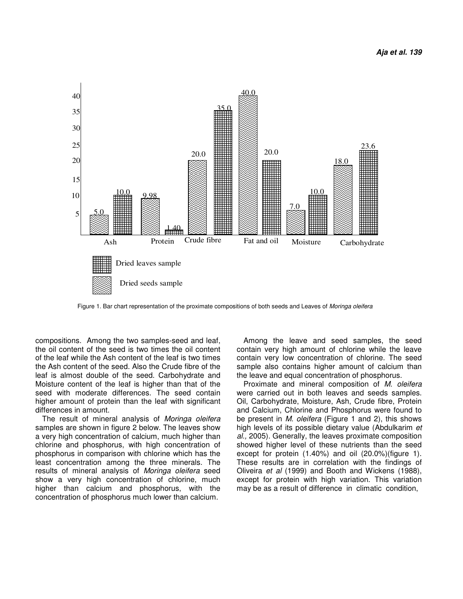

Figure 1. Bar chart representation of the proximate compositions of both seeds and Leaves of *Moringa oleifera*

compositions. Among the two samples-seed and leaf, the oil content of the seed is two times the oil content of the leaf while the Ash content of the leaf is two times the Ash content of the seed. Also the Crude fibre of the leaf is almost double of the seed. Carbohydrate and Moisture content of the leaf is higher than that of the seed with moderate differences. The seed contain higher amount of protein than the leaf with significant differences in amount.

The result of mineral analysis of *Moringa oleifera* samples are shown in figure 2 below. The leaves show a very high concentration of calcium, much higher than chlorine and phosphorus, with high concentration of phosphorus in comparison with chlorine which has the least concentration among the three minerals. The results of mineral analysis of *Moringa oleifera* seed show a very high concentration of chlorine, much higher than calcium and phosphorus, with the concentration of phosphorus much lower than calcium.

Among the leave and seed samples, the seed contain very high amount of chlorine while the leave contain very low concentration of chlorine. The seed sample also contains higher amount of calcium than the leave and equal concentration of phosphorus.

Proximate and mineral composition of *M. oleifera* were carried out in both leaves and seeds samples. Oil, Carbohydrate, Moisture, Ash, Crude fibre, Protein and Calcium, Chlorine and Phosphorus were found to be present in *M. oleifera* (Figure 1 and 2), this shows high levels of its possible dietary value (Abdulkarim *et al.,* 2005). Generally, the leaves proximate composition showed higher level of these nutrients than the seed except for protein (1.40%) and oil (20.0%)(figure 1). These results are in correlation with the findings of Oliveira *et al* (1999) and Booth and Wickens (1988), except for protein with high variation. This variation may be as a result of difference in climatic condition,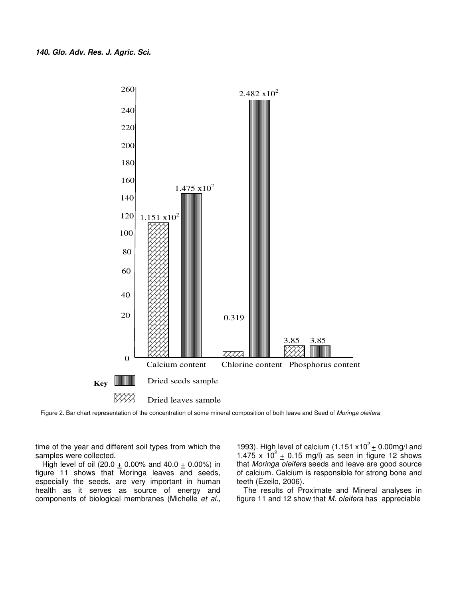

Figure 2. Bar chart representation of the concentration of some mineral composition of both leave and Seed of *Moringa oleifera*

time of the year and different soil types from which the samples were collected.

High level of oil (20.0  $\pm$  0.00% and 40.0  $\pm$  0.00%) in figure 11 shows that Moringa leaves and seeds, especially the seeds, are very important in human health as it serves as source of energy and components of biological membranes (Michelle *et al.,*

1993). High level of calcium  $(1.151 \times 10^2 \pm 0.00$  mg/l and 1.475 x  $10^2$  + 0.15 mg/l) as seen in figure 12 shows that *Moringa oleifera* seeds and leave are good source of calcium. Calcium is responsible for strong bone and teeth (Ezeilo, 2006).

The results of Proximate and Mineral analyses in figure 11 and 12 show that *M. oleifera* has appreciable